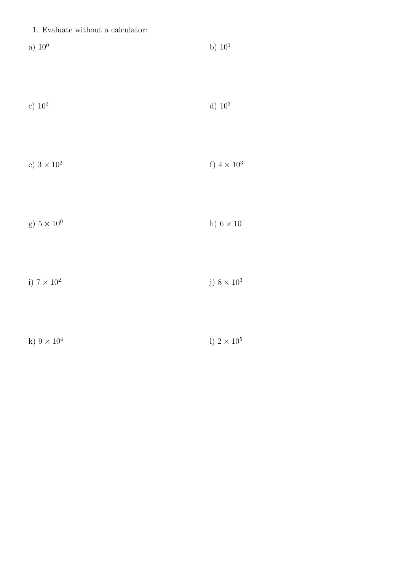| 1. Evaluate without a calculator: |  |
|-----------------------------------|--|
|-----------------------------------|--|

a)  $10^0$  b)  $10^1$ 

| c) $10^2$ | d) $10^3$ |
|-----------|-----------|
|-----------|-----------|

- e) $3\times10^2$ f)  $4\times10^3$
- g)  $5 \times 10^0$  h)  $6 \times 10^1$
- i)  $7\times10^2$ j)  $8\times10^3$
- k)  $9 \times 10^4$ l)  $2\times10^5$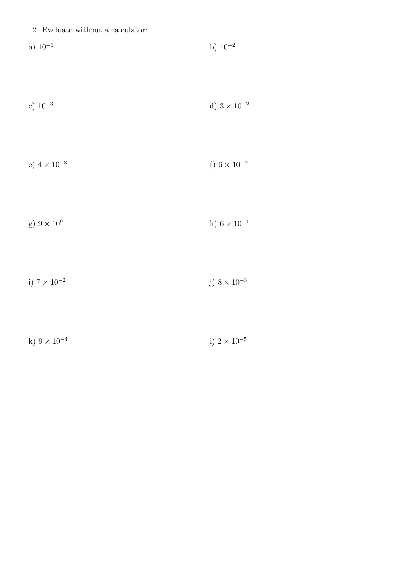a) 
$$
10^{-1}
$$
 b)  $10^{-2}$ 

c) 
$$
10^{-3}
$$
 d)  $3 \times 10^{-2}$ 

e) 
$$
4 \times 10^{-3}
$$
 f)  $6 \times 10^{-2}$ 

g) 
$$
9 \times 10^0
$$
 h)  $6 \times 10^{-1}$ 

i)  $7\times10^{-2}$ j)  $8\times10^{-3}$ 

k) 
$$
9 \times 10^{-4}
$$
 l)  $2 \times 10^{-5}$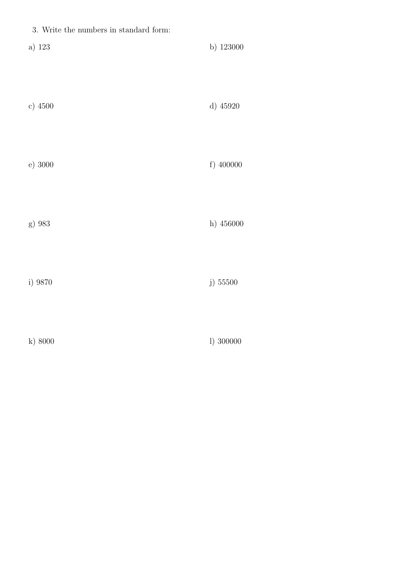| 3. Write the numbers in standard form: |             |
|----------------------------------------|-------------|
| a) $123\,$                             | b) 123000   |
| c) 4500                                | d) 45920    |
| e) 3000                                | f) $400000$ |
| g) 983                                 | h) 456000   |
| i) 9870                                | j) 55500    |
| k) 8000                                | 1) 300000   |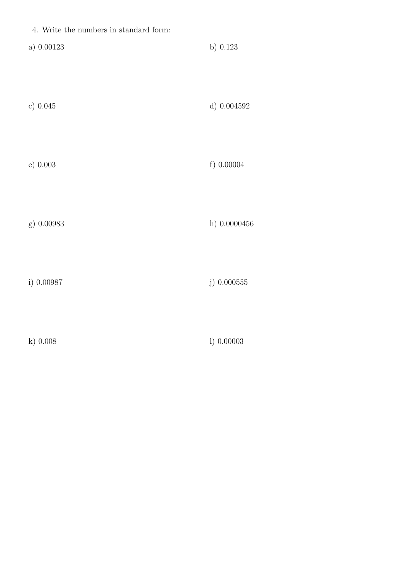| 4. Write the numbers in standard form: |                 |
|----------------------------------------|-----------------|
| a) $0.00123$                           | b) $0.123$      |
| c) $0.045$                             | d) $0.004592\,$ |
| e) 0.003                               | f) 0.00004      |
| g) 0.00983                             | h) $0.0000456$  |
| i) 0.00987                             | $j)$ 0.000555   |
| $k)$ 0.008                             | 1) 0.00003      |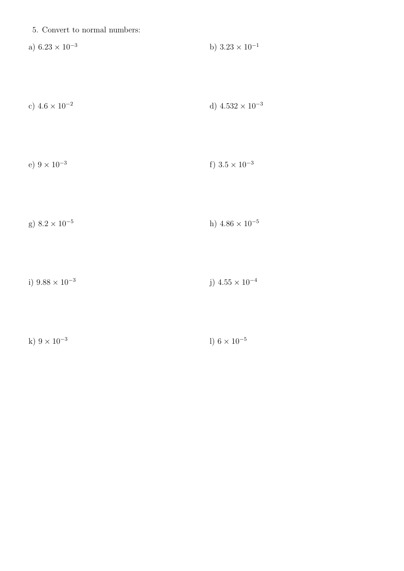|  |  |  |  | 5. Convert to normal numbers: |
|--|--|--|--|-------------------------------|
|--|--|--|--|-------------------------------|

b)  $3.23 \times 10^{-1}$ a)  $6.23 \times 10^{-3}$ 

c) 
$$
4.6 \times 10^{-2}
$$
 d)  $4.532 \times 10^{-3}$ 

e) 
$$
9 \times 10^{-3}
$$
 f)  $3.5 \times 10^{-3}$ 

g) 
$$
8.2 \times 10^{-5}
$$
 h)  $4.86 \times 10^{-5}$ 

i)  $9.88 \times 10^{-3}$ j)  $4.55 \times 10^{-4}$ 

k) 
$$
9 \times 10^{-3}
$$
 l)  $6 \times 10^{-5}$